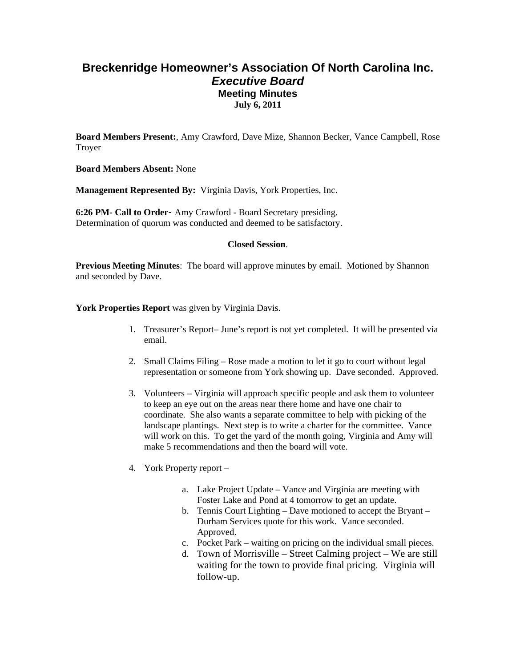# **Breckenridge Homeowner's Association Of North Carolina Inc.**  *Executive Board*  **Meeting Minutes July 6, 2011**

**Board Members Present:**, Amy Crawford, Dave Mize, Shannon Becker, Vance Campbell, Rose Troyer

**Board Members Absent:** None

**Management Represented By:** Virginia Davis, York Properties, Inc.

**6:26 PM- Call to Order**- Amy Crawford - Board Secretary presiding. Determination of quorum was conducted and deemed to be satisfactory.

#### **Closed Session**.

**Previous Meeting Minutes**: The board will approve minutes by email. Motioned by Shannon and seconded by Dave.

**York Properties Report** was given by Virginia Davis.

- 1. Treasurer's Report– June's report is not yet completed. It will be presented via email.
- 2. Small Claims Filing Rose made a motion to let it go to court without legal representation or someone from York showing up. Dave seconded. Approved.
- 3. Volunteers Virginia will approach specific people and ask them to volunteer to keep an eye out on the areas near there home and have one chair to coordinate. She also wants a separate committee to help with picking of the landscape plantings. Next step is to write a charter for the committee. Vance will work on this. To get the yard of the month going, Virginia and Amy will make 5 recommendations and then the board will vote.
- 4. York Property report
	- a. Lake Project Update Vance and Virginia are meeting with Foster Lake and Pond at 4 tomorrow to get an update.
	- b. Tennis Court Lighting Dave motioned to accept the Bryant Durham Services quote for this work. Vance seconded. Approved.
	- c. Pocket Park waiting on pricing on the individual small pieces.
	- d. Town of Morrisville Street Calming project We are still waiting for the town to provide final pricing. Virginia will follow-up.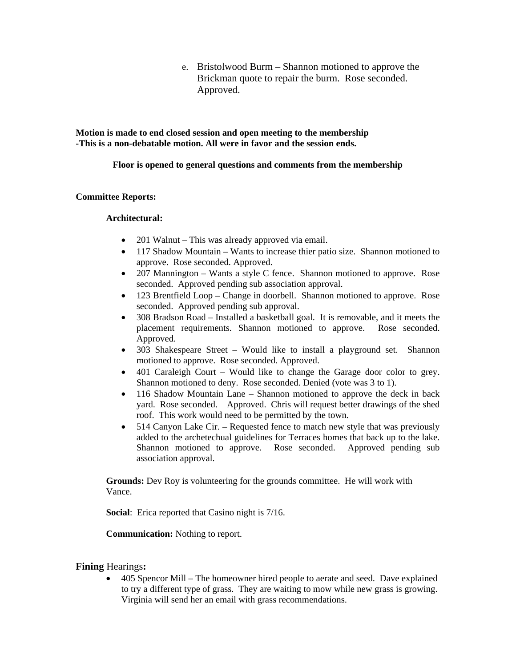e. Bristolwood Burm – Shannon motioned to approve the Brickman quote to repair the burm. Rose seconded. Approved.

**Motion is made to end closed session and open meeting to the membership -This is a non-debatable motion. All were in favor and the session ends.** 

#### **Floor is opened to general questions and comments from the membership**

#### **Committee Reports:**

### **Architectural:**

- 201 Walnut This was already approved via email.
- 117 Shadow Mountain Wants to increase thier patio size. Shannon motioned to approve. Rose seconded. Approved.
- 207 Mannington Wants a style C fence. Shannon motioned to approve. Rose seconded. Approved pending sub association approval.
- 123 Brentfield Loop Change in doorbell. Shannon motioned to approve. Rose seconded. Approved pending sub approval.
- 308 Bradson Road Installed a basketball goal. It is removable, and it meets the placement requirements. Shannon motioned to approve. Rose seconded. Approved.
- 303 Shakespeare Street Would like to install a playground set. Shannon motioned to approve. Rose seconded. Approved.
- 401 Caraleigh Court Would like to change the Garage door color to grey. Shannon motioned to deny. Rose seconded. Denied (vote was 3 to 1).
- 116 Shadow Mountain Lane Shannon motioned to approve the deck in back yard. Rose seconded. Approved. Chris will request better drawings of the shed roof. This work would need to be permitted by the town.
- 514 Canyon Lake Cir. Requested fence to match new style that was previously added to the archetechual guidelines for Terraces homes that back up to the lake. Shannon motioned to approve. Rose seconded. Approved pending sub association approval.

**Grounds:** Dev Roy is volunteering for the grounds committee. He will work with Vance.

**Social**: Erica reported that Casino night is 7/16.

**Communication:** Nothing to report.

## **Fining** Hearings**:**

 405 Spencor Mill – The homeowner hired people to aerate and seed. Dave explained to try a different type of grass. They are waiting to mow while new grass is growing. Virginia will send her an email with grass recommendations.